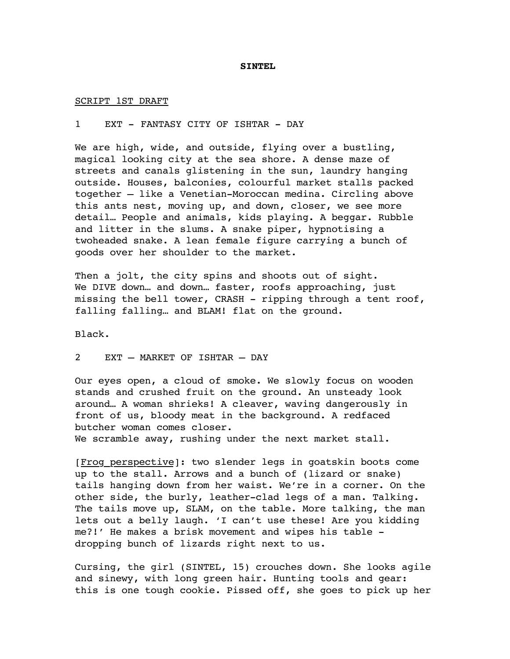## **SINTEL**

SCRIPT 1ST DRAFT

## 1 EXT - FANTASY CITY OF ISHTAR - DAY

We are high, wide, and outside, flying over a bustling, magical looking city at the sea shore. A dense maze of streets and canals glistening in the sun, laundry hanging outside. Houses, balconies, colourful market stalls packed together – like a Venetian-Moroccan medina. Circling above this ants nest, moving up, and down, closer, we see more detail… People and animals, kids playing. A beggar. Rubble and litter in the slums. A snake piper, hypnotising a twoheaded snake. A lean female figure carrying a bunch of goods over her shoulder to the market.

Then a jolt, the city spins and shoots out of sight. We DIVE down… and down… faster, roofs approaching, just missing the bell tower, CRASH - ripping through a tent roof, falling falling… and BLAM! flat on the ground.

Black.

## 2 EXT – MARKET OF ISHTAR – DAY

Our eyes open, a cloud of smoke. We slowly focus on wooden stands and crushed fruit on the ground. An unsteady look around… A woman shrieks! A cleaver, waving dangerously in front of us, bloody meat in the background. A redfaced butcher woman comes closer.

We scramble away, rushing under the next market stall.

[Frog perspective]: two slender legs in goatskin boots come up to the stall. Arrows and a bunch of (lizard or snake) tails hanging down from her waist. We're in a corner. On the other side, the burly, leather-clad legs of a man. Talking. The tails move up, SLAM, on the table. More talking, the man lets out a belly laugh. 'I can't use these! Are you kidding me?!' He makes a brisk movement and wipes his table dropping bunch of lizards right next to us.

Cursing, the girl (SINTEL, 15) crouches down. She looks agile and sinewy, with long green hair. Hunting tools and gear: this is one tough cookie. Pissed off, she goes to pick up her